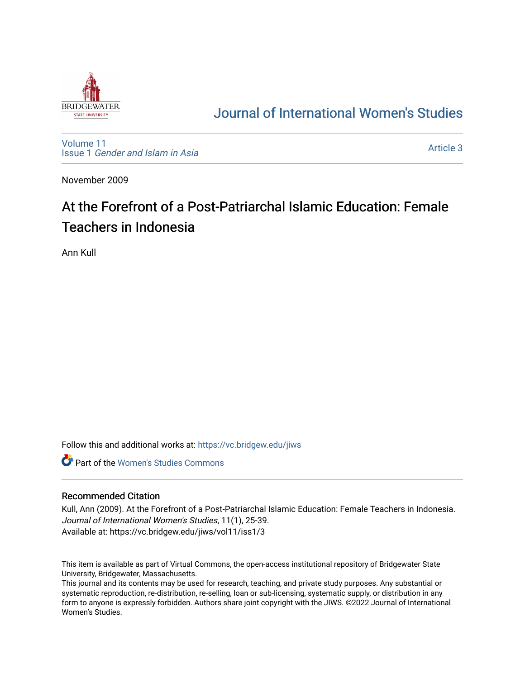

## [Journal of International Women's Studies](https://vc.bridgew.edu/jiws)

[Volume 11](https://vc.bridgew.edu/jiws/vol11) Issue 1 [Gender and Islam in Asia](https://vc.bridgew.edu/jiws/vol11/iss1)

[Article 3](https://vc.bridgew.edu/jiws/vol11/iss1/3) 

November 2009

# At the Forefront of a Post-Patriarchal Islamic Education: Female Teachers in Indonesia

Ann Kull

Follow this and additional works at: [https://vc.bridgew.edu/jiws](https://vc.bridgew.edu/jiws?utm_source=vc.bridgew.edu%2Fjiws%2Fvol11%2Fiss1%2F3&utm_medium=PDF&utm_campaign=PDFCoverPages)

**C** Part of the Women's Studies Commons

#### Recommended Citation

Kull, Ann (2009). At the Forefront of a Post-Patriarchal Islamic Education: Female Teachers in Indonesia. Journal of International Women's Studies, 11(1), 25-39. Available at: https://vc.bridgew.edu/jiws/vol11/iss1/3

This item is available as part of Virtual Commons, the open-access institutional repository of Bridgewater State University, Bridgewater, Massachusetts.

This journal and its contents may be used for research, teaching, and private study purposes. Any substantial or systematic reproduction, re-distribution, re-selling, loan or sub-licensing, systematic supply, or distribution in any form to anyone is expressly forbidden. Authors share joint copyright with the JIWS. ©2022 Journal of International Women's Studies.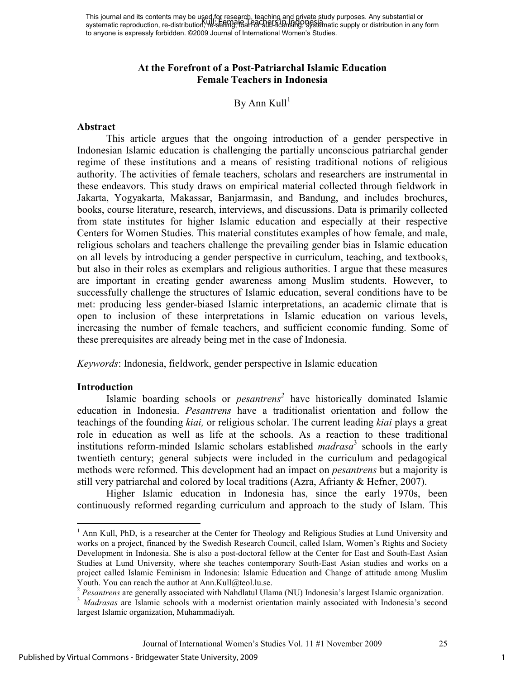### **At the Forefront of a Post-Patriarchal Islamic Education Female Teachers in Indonesia**

## By Ann  $Kull<sup>1</sup>$

#### **Abstract**

This article argues that the ongoing introduction of a gender perspective in Indonesian Islamic education is challenging the partially unconscious patriarchal gender regime of these institutions and a means of resisting traditional notions of religious authority. The activities of female teachers, scholars and researchers are instrumental in these endeavors. This study draws on empirical material collected through fieldwork in Jakarta, Yogyakarta, Makassar, Banjarmasin, and Bandung, and includes brochures, books, course literature, research, interviews, and discussions. Data is primarily collected from state institutes for higher Islamic education and especially at their respective Centers for Women Studies. This material constitutes examples of how female, and male, religious scholars and teachers challenge the prevailing gender bias in Islamic education on all levels by introducing a gender perspective in curriculum, teaching, and textbooks, but also in their roles as exemplars and religious authorities. I argue that these measures are important in creating gender awareness among Muslim students. However, to successfully challenge the structures of Islamic education, several conditions have to be met: producing less gender-biased Islamic interpretations, an academic climate that is open to inclusion of these interpretations in Islamic education on various levels, increasing the number of female teachers, and sufficient economic funding. Some of these prerequisites are already being met in the case of Indonesia.

*Keywords*: Indonesia, fieldwork, gender perspective in Islamic education

#### **Introduction**

<u>.</u>

Islamic boarding schools or *pesantrens<sup>2</sup>* have historically dominated Islamic education in Indonesia. *Pesantrens* have a traditionalist orientation and follow the teachings of the founding *kiai,* or religious scholar. The current leading *kiai* plays a great role in education as well as life at the schools. As a reaction to these traditional institutions reform-minded Islamic scholars established *madrasa*<sup>3</sup> schools in the early twentieth century; general subjects were included in the curriculum and pedagogical methods were reformed. This development had an impact on *pesantrens* but a majority is still very patriarchal and colored by local traditions (Azra, Afrianty & Hefner, 2007).

Higher Islamic education in Indonesia has, since the early 1970s, been continuously reformed regarding curriculum and approach to the study of Islam. This

<sup>&</sup>lt;sup>1</sup> Ann Kull, PhD, is a researcher at the Center for Theology and Religious Studies at Lund University and works on a project, financed by the Swedish Research Council, called Islam, Women's Rights and Society Development in Indonesia. She is also a post-doctoral fellow at the Center for East and South-East Asian Studies at Lund University, where she teaches contemporary South-East Asian studies and works on a project called Islamic Feminism in Indonesia: Islamic Education and Change of attitude among Muslim Youth. You can reach the author at Ann.Kull@teol.lu.se.

<sup>&</sup>lt;sup>2</sup> *Pesantrens* are generally associated with Nahdlatul Ulama (NU) Indonesia's largest Islamic organization.

<sup>&</sup>lt;sup>3</sup> Madrasas are Islamic schools with a modernist orientation mainly associated with Indonesia's second largest Islamic organization, Muhammadiyah.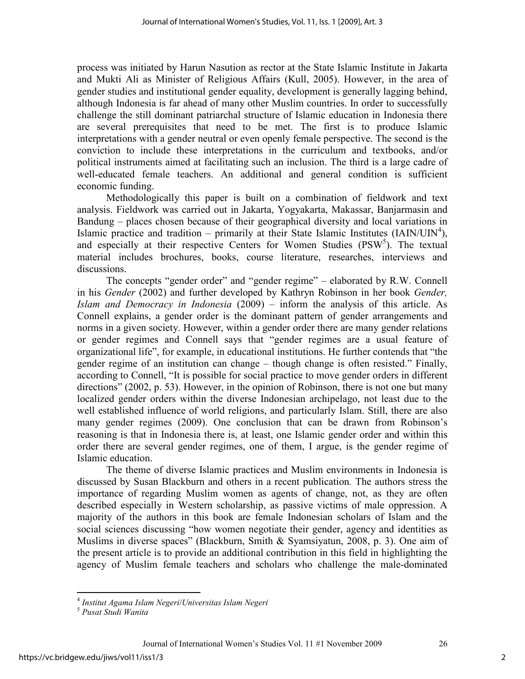process was initiated by Harun Nasution as rector at the State Islamic Institute in Jakarta and Mukti Ali as Minister of Religious Affairs (Kull, 2005). However, in the area of gender studies and institutional gender equality, development is generally lagging behind, although Indonesia is far ahead of many other Muslim countries. In order to successfully challenge the still dominant patriarchal structure of Islamic education in Indonesia there are several prerequisites that need to be met. The first is to produce Islamic interpretations with a gender neutral or even openly female perspective. The second is the conviction to include these interpretations in the curriculum and textbooks, and/or political instruments aimed at facilitating such an inclusion. The third is a large cadre of well-educated female teachers. An additional and general condition is sufficient economic funding.

Methodologically this paper is built on a combination of fieldwork and text analysis. Fieldwork was carried out in Jakarta, Yogyakarta, Makassar, Banjarmasin and Bandung – places chosen because of their geographical diversity and local variations in Islamic practice and tradition – primarily at their State Islamic Institutes (IAIN/UIN<sup>4</sup>), and especially at their respective Centers for Women Studies (PSW<sup>5</sup>). The textual material includes brochures, books, course literature, researches, interviews and discussions.

The concepts "gender order" and "gender regime" – elaborated by R.W. Connell in his *Gender* (2002) and further developed by Kathryn Robinson in her book *Gender, Islam and Democracy in Indonesia* (2009) – inform the analysis of this article. As Connell explains, a gender order is the dominant pattern of gender arrangements and norms in a given society. However, within a gender order there are many gender relations or gender regimes and Connell says that "gender regimes are a usual feature of organizational life", for example, in educational institutions. He further contends that "the gender regime of an institution can change – though change is often resisted." Finally, according to Connell, "It is possible for social practice to move gender orders in different directions" (2002, p. 53). However, in the opinion of Robinson, there is not one but many localized gender orders within the diverse Indonesian archipelago, not least due to the well established influence of world religions, and particularly Islam. Still, there are also many gender regimes (2009). One conclusion that can be drawn from Robinson's reasoning is that in Indonesia there is, at least, one Islamic gender order and within this order there are several gender regimes, one of them, I argue, is the gender regime of Islamic education.

The theme of diverse Islamic practices and Muslim environments in Indonesia is discussed by Susan Blackburn and others in a recent publication*.* The authors stress the importance of regarding Muslim women as agents of change, not, as they are often described especially in Western scholarship, as passive victims of male oppression. A majority of the authors in this book are female Indonesian scholars of Islam and the social sciences discussing "how women negotiate their gender, agency and identities as Muslims in diverse spaces" (Blackburn, Smith & Syamsiyatun, 2008, p. 3). One aim of the present article is to provide an additional contribution in this field in highlighting the agency of Muslim female teachers and scholars who challenge the male-dominated

 4 *Institut Agama Islam Negeri*/*Universitas Islam Negeri*

<sup>5</sup> *Pusat Studi Wanita*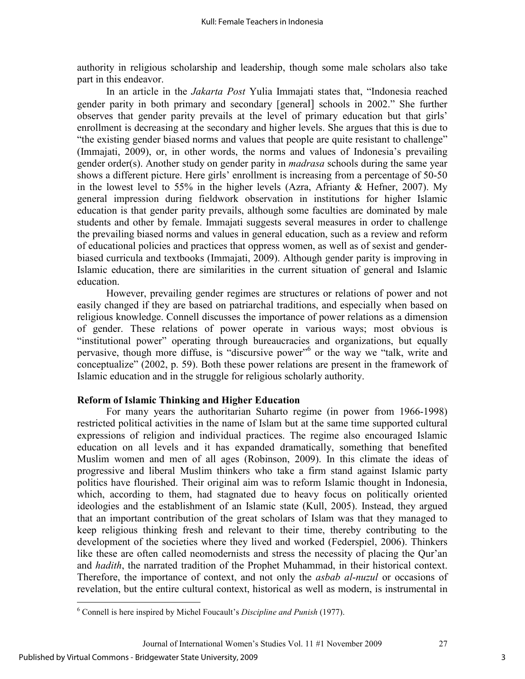authority in religious scholarship and leadership, though some male scholars also take part in this endeavor.

In an article in the *Jakarta Post* Yulia Immajati states that, "Indonesia reached gender parity in both primary and secondary [general] schools in 2002." She further observes that gender parity prevails at the level of primary education but that girls' enrollment is decreasing at the secondary and higher levels. She argues that this is due to "the existing gender biased norms and values that people are quite resistant to challenge" (Immajati, 2009), or, in other words, the norms and values of Indonesia's prevailing gender order(s). Another study on gender parity in *madrasa* schools during the same year shows a different picture. Here girls' enrollment is increasing from a percentage of 50-50 in the lowest level to 55% in the higher levels (Azra, Afrianty & Hefner, 2007). My general impression during fieldwork observation in institutions for higher Islamic education is that gender parity prevails, although some faculties are dominated by male students and other by female. Immajati suggests several measures in order to challenge the prevailing biased norms and values in general education, such as a review and reform of educational policies and practices that oppress women, as well as of sexist and genderbiased curricula and textbooks (Immajati, 2009). Although gender parity is improving in Islamic education, there are similarities in the current situation of general and Islamic education.

However, prevailing gender regimes are structures or relations of power and not easily changed if they are based on patriarchal traditions, and especially when based on religious knowledge. Connell discusses the importance of power relations as a dimension of gender. These relations of power operate in various ways; most obvious is "institutional power" operating through bureaucracies and organizations, but equally pervasive, though more diffuse, is "discursive power"<sup>6</sup> or the way we "talk, write and conceptualize" (2002, p. 59). Both these power relations are present in the framework of Islamic education and in the struggle for religious scholarly authority.

## **Reform of Islamic Thinking and Higher Education**

For many years the authoritarian Suharto regime (in power from 1966-1998) restricted political activities in the name of Islam but at the same time supported cultural expressions of religion and individual practices. The regime also encouraged Islamic education on all levels and it has expanded dramatically, something that benefited Muslim women and men of all ages (Robinson, 2009). In this climate the ideas of progressive and liberal Muslim thinkers who take a firm stand against Islamic party politics have flourished. Their original aim was to reform Islamic thought in Indonesia, which, according to them, had stagnated due to heavy focus on politically oriented ideologies and the establishment of an Islamic state (Kull, 2005). Instead, they argued that an important contribution of the great scholars of Islam was that they managed to keep religious thinking fresh and relevant to their time, thereby contributing to the development of the societies where they lived and worked (Federspiel, 2006). Thinkers like these are often called neomodernists and stress the necessity of placing the Qur'an and *hadith*, the narrated tradition of the Prophet Muhammad, in their historical context. Therefore, the importance of context, and not only the *asbab al*-*nuzul* or occasions of revelation, but the entire cultural context, historical as well as modern, is instrumental in

 $\overline{a}$ 

<sup>6</sup> Connell is here inspired by Michel Foucault's *Discipline and Punish* (1977).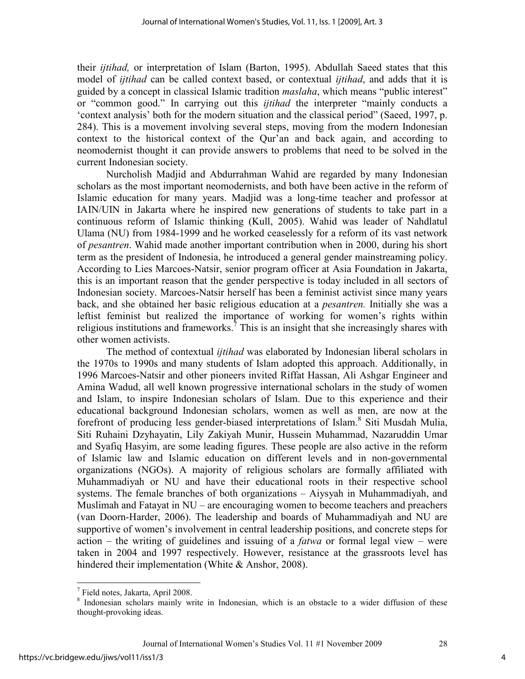their *ijtihad,* or interpretation of Islam (Barton, 1995). Abdullah Saeed states that this model of *ijtihad* can be called context based, or contextual *ijtihad*, and adds that it is guided by a concept in classical Islamic tradition *maslaha*, which means "public interest" or "common good." In carrying out this *ijtihad* the interpreter "mainly conducts a 'context analysis' both for the modern situation and the classical period" (Saeed, 1997, p. 284). This is a movement involving several steps, moving from the modern Indonesian context to the historical context of the Qur'an and back again, and according to neomodernist thought it can provide answers to problems that need to be solved in the current Indonesian society.

Nurcholish Madjid and Abdurrahman Wahid are regarded by many Indonesian scholars as the most important neomodernists, and both have been active in the reform of Islamic education for many years. Madjid was a long-time teacher and professor at IAIN/UIN in Jakarta where he inspired new generations of students to take part in a continuous reform of Islamic thinking (Kull, 2005). Wahid was leader of Nahdlatul Ulama (NU) from 1984-1999 and he worked ceaselessly for a reform of its vast network of *pesantren*. Wahid made another important contribution when in 2000, during his short term as the president of Indonesia, he introduced a general gender mainstreaming policy. According to Lies Marcoes-Natsir, senior program officer at Asia Foundation in Jakarta, this is an important reason that the gender perspective is today included in all sectors of Indonesian society. Marcoes-Natsir herself has been a feminist activist since many years back, and she obtained her basic religious education at a *pesantren.* Initially she was a leftist feminist but realized the importance of working for women's rights within religious institutions and frameworks.<sup>7</sup> This is an insight that she increasingly shares with other women activists.

The method of contextual *ijtihad* was elaborated by Indonesian liberal scholars in the 1970s to 1990s and many students of Islam adopted this approach. Additionally, in 1996 Marcoes-Natsir and other pioneers invited Riffat Hassan, Ali Ashgar Engineer and Amina Wadud, all well known progressive international scholars in the study of women and Islam, to inspire Indonesian scholars of Islam. Due to this experience and their educational background Indonesian scholars, women as well as men, are now at the forefront of producing less gender-biased interpretations of Islam.<sup>8</sup> Siti Musdah Mulia, Siti Ruhaini Dzyhayatin, Lily Zakiyah Munir, Hussein Muhammad, Nazaruddin Umar and Syafiq Hasyim, are some leading figures. These people are also active in the reform of Islamic law and Islamic education on different levels and in non-governmental organizations (NGOs). A majority of religious scholars are formally affiliated with Muhammadiyah or NU and have their educational roots in their respective school systems. The female branches of both organizations – Aiysyah in Muhammadiyah, and Muslimah and Fatayat in NU – are encouraging women to become teachers and preachers (van Doorn-Harder, 2006). The leadership and boards of Muhammadiyah and NU are supportive of women's involvement in central leadership positions, and concrete steps for action – the writing of guidelines and issuing of a *fatwa* or formal legal view – were taken in 2004 and 1997 respectively. However, resistance at the grassroots level has hindered their implementation (White & Anshor, 2008).

 7 Field notes, Jakarta, April 2008.

<sup>&</sup>lt;sup>8</sup> Indonesian scholars mainly write in Indonesian, which is an obstacle to a wider diffusion of these thought-provoking ideas.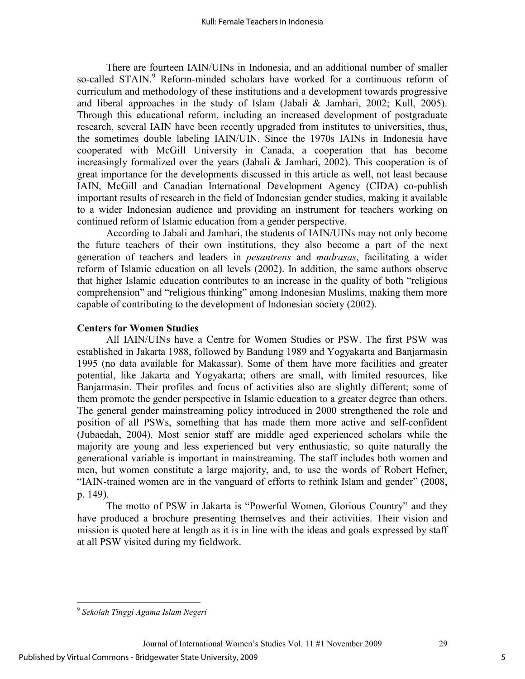There are fourteen IAIN/UINs in Indonesia, and an additional number of smaller so-called STAIN.<sup>9</sup> Reform-minded scholars have worked for a continuous reform of curriculum and methodology of these institutions and a development towards progressive and liberal approaches in the study of Islam (Jabali & Jamhari, 2002; Kull, 2005). Through this educational reform, including an increased development of postgraduate research, several IAIN have been recently upgraded from institutes to universities, thus, the sometimes double labeling IAIN/UIN. Since the 1970s IAINs in Indonesia have cooperated with McGill University in Canada, a cooperation that has become increasingly formalized over the years (Jabali & Jamhari, 2002). This cooperation is of great importance for the developments discussed in this article as well, not least because IAIN, McGill and Canadian International Development Agency (CIDA) co-publish important results of research in the field of Indonesian gender studies, making it available to a wider Indonesian audience and providing an instrument for teachers working on continued reform of Islamic education from a gender perspective.

According to Jabali and Jamhari, the students of IAIN/UINs may not only become the future teachers of their own institutions, they also become a part of the next generation of teachers and leaders in *pesantrens* and *madrasas*, facilitating a wider reform of Islamic education on all levels (2002). In addition, the same authors observe that higher Islamic education contributes to an increase in the quality of both "religious comprehension" and "religious thinking" among Indonesian Muslims, making them more capable of contributing to the development of Indonesian society (2002).

## **Centers for Women Studies**

All IAIN/UINs have a Centre for Women Studies or PSW. The first PSW was established in Jakarta 1988, followed by Bandung 1989 and Yogyakarta and Banjarmasin 1995 (no data available for Makassar). Some of them have more facilities and greater potential, like Jakarta and Yogyakarta; others are small, with limited resources, like Banjarmasin. Their profiles and focus of activities also are slightly different; some of them promote the gender perspective in Islamic education to a greater degree than others. The general gender mainstreaming policy introduced in 2000 strengthened the role and position of all PSWs, something that has made them more active and self-confident (Jubaedah, 2004). Most senior staff are middle aged experienced scholars while the majority are young and less experienced but very enthusiastic, so quite naturally the generational variable is important in mainstreaming. The staff includes both women and men, but women constitute a large majority, and, to use the words of Robert Hefner, "IAIN-trained women are in the vanguard of efforts to rethink Islam and gender" (2008, p. 149).

The motto of PSW in Jakarta is "Powerful Women, Glorious Country" and they have produced a brochure presenting themselves and their activities. Their vision and mission is quoted here at length as it is in line with the ideas and goals expressed by staff at all PSW visited during my fieldwork.

 9 *Sekolah Tinggi Agama Islam Negeri*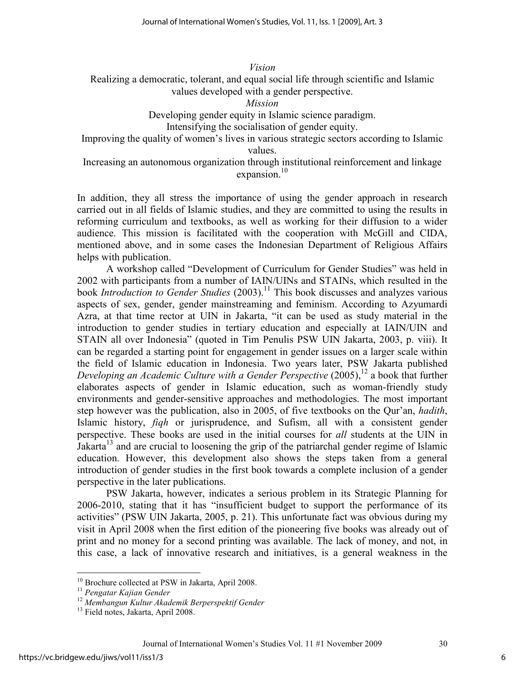*Vision* 

Realizing a democratic, tolerant, and equal social life through scientific and Islamic values developed with a gender perspective.

*Mission* 

Developing gender equity in Islamic science paradigm.

Intensifying the socialisation of gender equity.

Improving the quality of women's lives in various strategic sectors according to Islamic values.

Increasing an autonomous organization through institutional reinforcement and linkage expansion.<sup>10</sup>

In addition, they all stress the importance of using the gender approach in research carried out in all fields of Islamic studies, and they are committed to using the results in reforming curriculum and textbooks, as well as working for their diffusion to a wider audience. This mission is facilitated with the cooperation with McGill and CIDA, mentioned above, and in some cases the Indonesian Department of Religious Affairs helps with publication.

A workshop called "Development of Curriculum for Gender Studies" was held in 2002 with participants from a number of IAIN/UINs and STAINs, which resulted in the book *Introduction to Gender Studies* (2003).<sup>11</sup> This book discusses and analyzes various aspects of sex, gender, gender mainstreaming and feminism. According to Azyumardi Azra, at that time rector at UIN in Jakarta, "it can be used as study material in the introduction to gender studies in tertiary education and especially at IAIN/UIN and STAIN all over Indonesia" (quoted in Tim Penulis PSW UIN Jakarta, 2003, p. viii). It can be regarded a starting point for engagement in gender issues on a larger scale within the field of Islamic education in Indonesia. Two years later, PSW Jakarta published *Developing an Academic Culture with a Gender Perspective* (2005),<sup>12</sup> a book that further elaborates aspects of gender in Islamic education, such as woman-friendly study environments and gender-sensitive approaches and methodologies. The most important step however was the publication, also in 2005, of five textbooks on the Qur'an, *hadith*, Islamic history, *fiqh* or jurisprudence, and Sufism, all with a consistent gender perspective. These books are used in the initial courses for *all* students at the UIN in Jakarta<sup>13</sup> and are crucial to loosening the grip of the patriarchal gender regime of Islamic education. However, this development also shows the steps taken from a general introduction of gender studies in the first book towards a complete inclusion of a gender perspective in the later publications.

PSW Jakarta, however, indicates a serious problem in its Strategic Planning for 2006-2010, stating that it has "insufficient budget to support the performance of its activities" (PSW UIN Jakarta, 2005, p. 21). This unfortunate fact was obvious during my visit in April 2008 when the first edition of the pioneering five books was already out of print and no money for a second printing was available. The lack of money, and not, in this case, a lack of innovative research and initiatives, is a general weakness in the

-

<sup>&</sup>lt;sup>10</sup> Brochure collected at PSW in Jakarta, April 2008.

<sup>11</sup> *Pengatar Kajian Gender*

<sup>12</sup> *Membangun Kultur Akademik Berperspektif Gender*

<sup>&</sup>lt;sup>13</sup> Field notes, Jakarta, April 2008.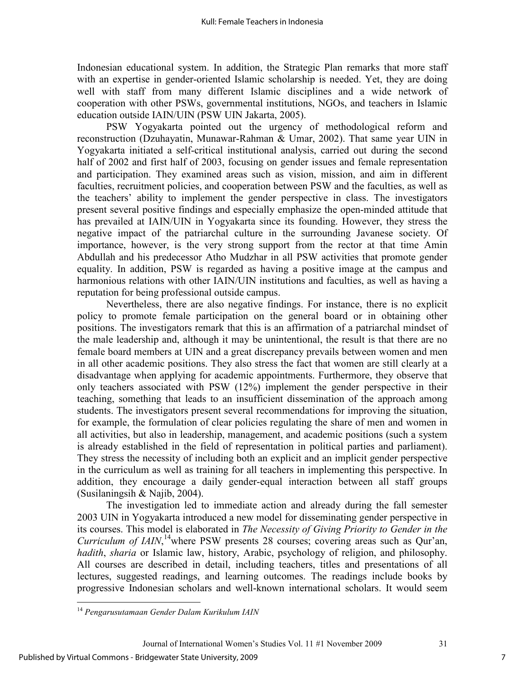Indonesian educational system. In addition, the Strategic Plan remarks that more staff with an expertise in gender-oriented Islamic scholarship is needed. Yet, they are doing well with staff from many different Islamic disciplines and a wide network of cooperation with other PSWs, governmental institutions, NGOs, and teachers in Islamic education outside IAIN/UIN (PSW UIN Jakarta, 2005).

PSW Yogyakarta pointed out the urgency of methodological reform and reconstruction (Dzuhayatin, Munawar-Rahman & Umar, 2002). That same year UIN in Yogyakarta initiated a self-critical institutional analysis, carried out during the second half of 2002 and first half of 2003, focusing on gender issues and female representation and participation. They examined areas such as vision, mission, and aim in different faculties, recruitment policies, and cooperation between PSW and the faculties, as well as the teachers' ability to implement the gender perspective in class. The investigators present several positive findings and especially emphasize the open-minded attitude that has prevailed at IAIN/UIN in Yogyakarta since its founding. However, they stress the negative impact of the patriarchal culture in the surrounding Javanese society. Of importance, however, is the very strong support from the rector at that time Amin Abdullah and his predecessor Atho Mudzhar in all PSW activities that promote gender equality. In addition, PSW is regarded as having a positive image at the campus and harmonious relations with other IAIN/UIN institutions and faculties, as well as having a reputation for being professional outside campus.

Nevertheless, there are also negative findings. For instance, there is no explicit policy to promote female participation on the general board or in obtaining other positions. The investigators remark that this is an affirmation of a patriarchal mindset of the male leadership and, although it may be unintentional, the result is that there are no female board members at UIN and a great discrepancy prevails between women and men in all other academic positions. They also stress the fact that women are still clearly at a disadvantage when applying for academic appointments. Furthermore, they observe that only teachers associated with PSW (12%) implement the gender perspective in their teaching, something that leads to an insufficient dissemination of the approach among students. The investigators present several recommendations for improving the situation, for example, the formulation of clear policies regulating the share of men and women in all activities, but also in leadership, management, and academic positions (such a system is already established in the field of representation in political parties and parliament). They stress the necessity of including both an explicit and an implicit gender perspective in the curriculum as well as training for all teachers in implementing this perspective. In addition, they encourage a daily gender-equal interaction between all staff groups (Susilaningsih & Najib, 2004).

The investigation led to immediate action and already during the fall semester 2003 UIN in Yogyakarta introduced a new model for disseminating gender perspective in its courses. This model is elaborated in *The Necessity of Giving Priority to Gender in the*  Curriculum of IAIN,<sup>14</sup>where PSW presents 28 courses; covering areas such as Qur'an, *hadith*, *sharia* or Islamic law, history, Arabic, psychology of religion, and philosophy. All courses are described in detail, including teachers, titles and presentations of all lectures, suggested readings, and learning outcomes. The readings include books by progressive Indonesian scholars and well-known international scholars. It would seem

<sup>&</sup>lt;u>.</u> <sup>14</sup> *Pengarusutamaan Gender Dalam Kurikulum IAIN*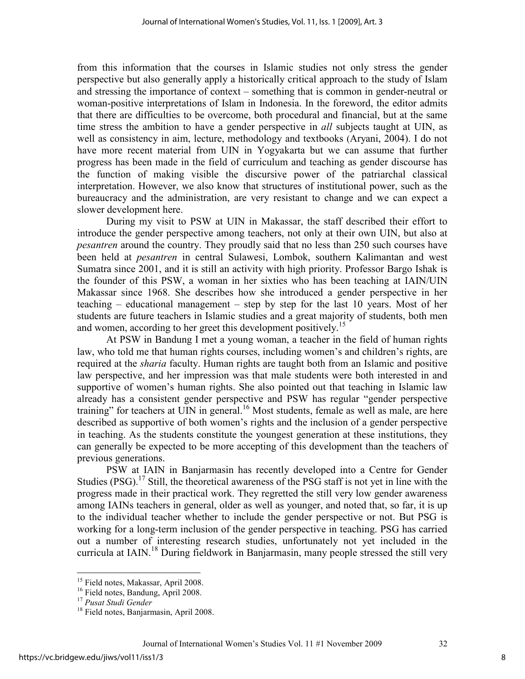from this information that the courses in Islamic studies not only stress the gender perspective but also generally apply a historically critical approach to the study of Islam and stressing the importance of context – something that is common in gender-neutral or woman-positive interpretations of Islam in Indonesia. In the foreword, the editor admits that there are difficulties to be overcome, both procedural and financial, but at the same time stress the ambition to have a gender perspective in *all* subjects taught at UIN, as well as consistency in aim, lecture, methodology and textbooks (Aryani, 2004). I do not have more recent material from UIN in Yogyakarta but we can assume that further progress has been made in the field of curriculum and teaching as gender discourse has the function of making visible the discursive power of the patriarchal classical interpretation. However, we also know that structures of institutional power, such as the bureaucracy and the administration, are very resistant to change and we can expect a slower development here.

During my visit to PSW at UIN in Makassar, the staff described their effort to introduce the gender perspective among teachers, not only at their own UIN, but also at *pesantren* around the country. They proudly said that no less than 250 such courses have been held at *pesantren* in central Sulawesi, Lombok, southern Kalimantan and west Sumatra since 2001, and it is still an activity with high priority. Professor Bargo Ishak is the founder of this PSW, a woman in her sixties who has been teaching at IAIN/UIN Makassar since 1968. She describes how she introduced a gender perspective in her teaching – educational management – step by step for the last 10 years. Most of her students are future teachers in Islamic studies and a great majority of students, both men and women, according to her greet this development positively.<sup>15</sup>

At PSW in Bandung I met a young woman, a teacher in the field of human rights law, who told me that human rights courses, including women's and children's rights, are required at the *sharia* faculty. Human rights are taught both from an Islamic and positive law perspective, and her impression was that male students were both interested in and supportive of women's human rights. She also pointed out that teaching in Islamic law already has a consistent gender perspective and PSW has regular "gender perspective training" for teachers at UIN in general.<sup>16</sup> Most students, female as well as male, are here described as supportive of both women's rights and the inclusion of a gender perspective in teaching. As the students constitute the youngest generation at these institutions, they can generally be expected to be more accepting of this development than the teachers of previous generations.

PSW at IAIN in Banjarmasin has recently developed into a Centre for Gender Studies (PSG).<sup>17</sup> Still, the theoretical awareness of the PSG staff is not yet in line with the progress made in their practical work. They regretted the still very low gender awareness among IAINs teachers in general, older as well as younger, and noted that, so far, it is up to the individual teacher whether to include the gender perspective or not. But PSG is working for a long-term inclusion of the gender perspective in teaching. PSG has carried out a number of interesting research studies, unfortunately not yet included in the curricula at IAIN.<sup>18</sup> During fieldwork in Banjarmasin, many people stressed the still very

<sup>-</sup><sup>15</sup> Field notes, Makassar, April 2008.

<sup>&</sup>lt;sup>16</sup> Field notes, Bandung, April 2008.

<sup>17</sup> *Pusat Studi Gender*

<sup>&</sup>lt;sup>18</sup> Field notes, Banjarmasin, April 2008.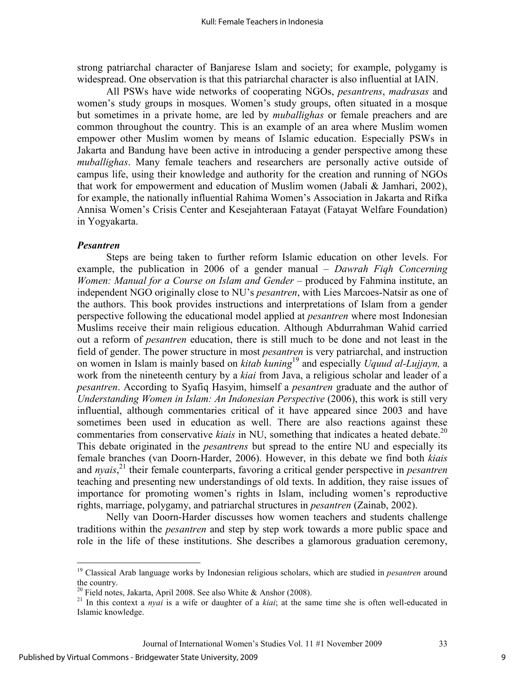strong patriarchal character of Banjarese Islam and society; for example, polygamy is widespread. One observation is that this patriarchal character is also influential at IAIN.

All PSWs have wide networks of cooperating NGOs, *pesantrens*, *madrasas* and women's study groups in mosques. Women's study groups, often situated in a mosque but sometimes in a private home, are led by *muballighas* or female preachers and are common throughout the country. This is an example of an area where Muslim women empower other Muslim women by means of Islamic education. Especially PSWs in Jakarta and Bandung have been active in introducing a gender perspective among these *muballighas*. Many female teachers and researchers are personally active outside of campus life, using their knowledge and authority for the creation and running of NGOs that work for empowerment and education of Muslim women (Jabali & Jamhari, 2002), for example, the nationally influential Rahima Women's Association in Jakarta and Rifka Annisa Women's Crisis Center and Kesejahteraan Fatayat (Fatayat Welfare Foundation) in Yogyakarta.

#### *Pesantren*

Steps are being taken to further reform Islamic education on other levels. For example, the publication in 2006 of a gender manual – *Dawrah Fiqh Concerning Women: Manual for a Course on Islam and Gender* – produced by Fahmina institute, an independent NGO originally close to NU's *pesantren*, with Lies Marcoes-Natsir as one of the authors. This book provides instructions and interpretations of Islam from a gender perspective following the educational model applied at *pesantren* where most Indonesian Muslims receive their main religious education. Although Abdurrahman Wahid carried out a reform of *pesantren* education, there is still much to be done and not least in the field of gender. The power structure in most *pesantren* is very patriarchal, and instruction on women in Islam is mainly based on *kitab kuning*<sup>19</sup> and especially *Uquud al-Lujjayn,* a work from the nineteenth century by a *kiai* from Java, a religious scholar and leader of a *pesantren*. According to Syafiq Hasyim, himself a *pesantren* graduate and the author of *Understanding Women in Islam: An Indonesian Perspective* (2006), this work is still very influential, although commentaries critical of it have appeared since 2003 and have sometimes been used in education as well. There are also reactions against these commentaries from conservative *kiais* in NU, something that indicates a heated debate.<sup>20</sup> This debate originated in the *pesantrens* but spread to the entire NU and especially its female branches (van Doorn-Harder, 2006). However, in this debate we find both *kiais* and *nyais*, <sup>21</sup> their female counterparts, favoring a critical gender perspective in *pesantren* teaching and presenting new understandings of old texts. In addition, they raise issues of importance for promoting women's rights in Islam, including women's reproductive rights, marriage, polygamy, and patriarchal structures in *pesantren* (Zainab, 2002).

Nelly van Doorn-Harder discusses how women teachers and students challenge traditions within the *pesantren* and step by step work towards a more public space and role in the life of these institutions. She describes a glamorous graduation ceremony,

-

<sup>19</sup> Classical Arab language works by Indonesian religious scholars, which are studied in *pesantren* around the country.

<sup>&</sup>lt;sup>20</sup> Field notes, Jakarta, April 2008. See also White & Anshor (2008).

<sup>&</sup>lt;sup>21</sup> In this context a *nyai* is a wife or daughter of a *kiai*; at the same time she is often well-educated in Islamic knowledge.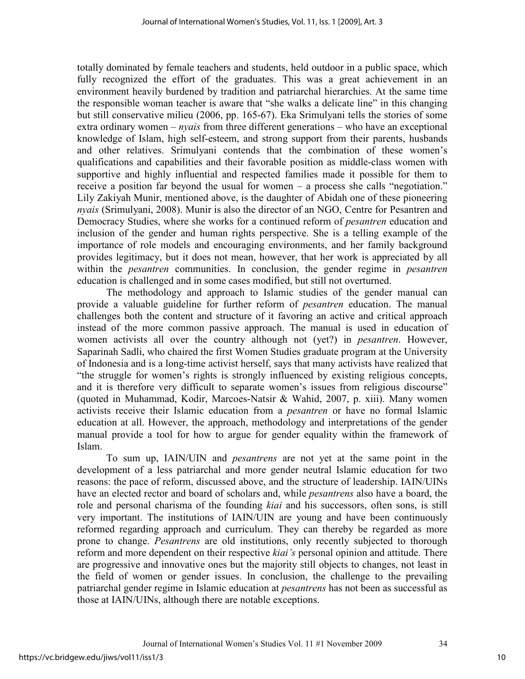totally dominated by female teachers and students, held outdoor in a public space, which fully recognized the effort of the graduates. This was a great achievement in an environment heavily burdened by tradition and patriarchal hierarchies. At the same time the responsible woman teacher is aware that "she walks a delicate line" in this changing but still conservative milieu (2006, pp. 165-67). Eka Srimulyani tells the stories of some extra ordinary women – *nyais* from three different generations – who have an exceptional knowledge of Islam, high self-esteem, and strong support from their parents, husbands and other relatives. Srimulyani contends that the combination of these women's qualifications and capabilities and their favorable position as middle-class women with supportive and highly influential and respected families made it possible for them to receive a position far beyond the usual for women – a process she calls "negotiation." Lily Zakiyah Munir, mentioned above, is the daughter of Abidah one of these pioneering *nyais* (Srimulyani, 2008). Munir is also the director of an NGO, Centre for Pesantren and Democracy Studies, where she works for a continued reform of *pesantren* education and inclusion of the gender and human rights perspective. She is a telling example of the importance of role models and encouraging environments, and her family background provides legitimacy, but it does not mean, however, that her work is appreciated by all within the *pesantren* communities. In conclusion, the gender regime in *pesantren* education is challenged and in some cases modified, but still not overturned.

The methodology and approach to Islamic studies of the gender manual can provide a valuable guideline for further reform of *pesantren* education. The manual challenges both the content and structure of it favoring an active and critical approach instead of the more common passive approach. The manual is used in education of women activists all over the country although not (yet?) in *pesantren*. However, Saparinah Sadli, who chaired the first Women Studies graduate program at the University of Indonesia and is a long-time activist herself, says that many activists have realized that "the struggle for women's rights is strongly influenced by existing religious concepts, and it is therefore very difficult to separate women's issues from religious discourse" (quoted in Muhammad, Kodir, Marcoes-Natsir & Wahid, 2007, p. xiii). Many women activists receive their Islamic education from a *pesantren* or have no formal Islamic education at all. However, the approach, methodology and interpretations of the gender manual provide a tool for how to argue for gender equality within the framework of Islam.

To sum up, IAIN/UIN and *pesantrens* are not yet at the same point in the development of a less patriarchal and more gender neutral Islamic education for two reasons: the pace of reform, discussed above, and the structure of leadership. IAIN/UINs have an elected rector and board of scholars and, while *pesantrens* also have a board, the role and personal charisma of the founding *kiai* and his successors, often sons, is still very important. The institutions of IAIN/UIN are young and have been continuously reformed regarding approach and curriculum. They can thereby be regarded as more prone to change. *Pesantrens* are old institutions, only recently subjected to thorough reform and more dependent on their respective *kiai's* personal opinion and attitude. There are progressive and innovative ones but the majority still objects to changes, not least in the field of women or gender issues. In conclusion, the challenge to the prevailing patriarchal gender regime in Islamic education at *pesantrens* has not been as successful as those at IAIN/UINs, although there are notable exceptions.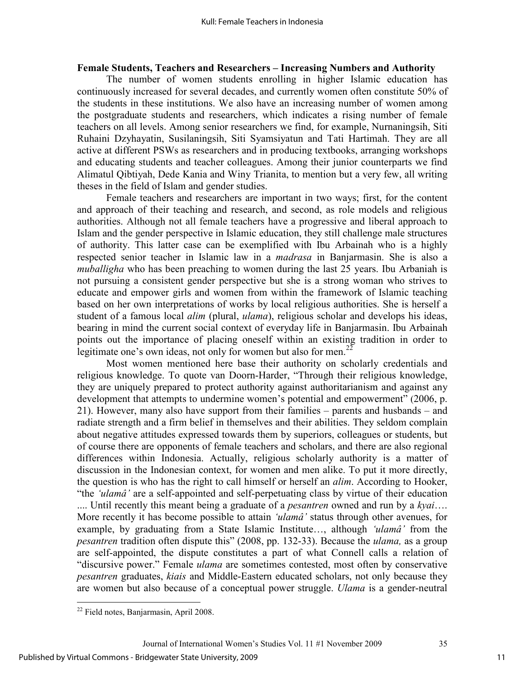#### **Female Students, Teachers and Researchers – Increasing Numbers and Authority**

The number of women students enrolling in higher Islamic education has continuously increased for several decades, and currently women often constitute 50% of the students in these institutions. We also have an increasing number of women among the postgraduate students and researchers, which indicates a rising number of female teachers on all levels. Among senior researchers we find, for example, Nurnaningsih, Siti Ruhaini Dzyhayatin, Susilaningsih, Siti Syamsiyatun and Tati Hartimah. They are all active at different PSWs as researchers and in producing textbooks, arranging workshops and educating students and teacher colleagues. Among their junior counterparts we find Alimatul Qibtiyah, Dede Kania and Winy Trianita, to mention but a very few, all writing theses in the field of Islam and gender studies.

Female teachers and researchers are important in two ways; first, for the content and approach of their teaching and research, and second, as role models and religious authorities. Although not all female teachers have a progressive and liberal approach to Islam and the gender perspective in Islamic education, they still challenge male structures of authority. This latter case can be exemplified with Ibu Arbainah who is a highly respected senior teacher in Islamic law in a *madrasa* in Banjarmasin. She is also a *muballigha* who has been preaching to women during the last 25 years. Ibu Arbaniah is not pursuing a consistent gender perspective but she is a strong woman who strives to educate and empower girls and women from within the framework of Islamic teaching based on her own interpretations of works by local religious authorities. She is herself a student of a famous local *alim* (plural, *ulama*), religious scholar and develops his ideas, bearing in mind the current social context of everyday life in Banjarmasin. Ibu Arbainah points out the importance of placing oneself within an existing tradition in order to legitimate one's own ideas, not only for women but also for men.<sup>22</sup>

Most women mentioned here base their authority on scholarly credentials and religious knowledge. To quote van Doorn-Harder, "Through their religious knowledge, they are uniquely prepared to protect authority against authoritarianism and against any development that attempts to undermine women's potential and empowerment" (2006, p. 21). However, many also have support from their families – parents and husbands – and radiate strength and a firm belief in themselves and their abilities. They seldom complain about negative attitudes expressed towards them by superiors, colleagues or students, but of course there are opponents of female teachers and scholars, and there are also regional differences within Indonesia. Actually, religious scholarly authority is a matter of discussion in the Indonesian context, for women and men alike. To put it more directly, the question is who has the right to call himself or herself an *alim*. According to Hooker, "the *'ulamâ'* are a self-appointed and self-perpetuating class by virtue of their education .... Until recently this meant being a graduate of a *pesantren* owned and run by a *kyai*…. More recently it has become possible to attain *'ulamâ'* status through other avenues, for example, by graduating from a State Islamic Institute…, although *'ulamâ'* from the *pesantren* tradition often dispute this" (2008, pp. 132-33). Because the *ulama,* as a group

are self-appointed, the dispute constitutes a part of what Connell calls a relation of "discursive power." Female *ulama* are sometimes contested, most often by conservative *pesantren* graduates, *kiais* and Middle-Eastern educated scholars, not only because they are women but also because of a conceptual power struggle. *Ulama* is a gender-neutral

<u>.</u>

<sup>22</sup> Field notes, Banjarmasin, April 2008.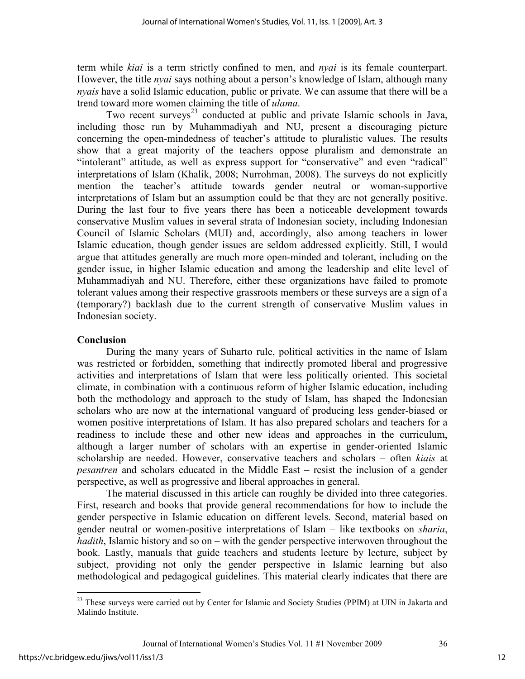term while *kiai* is a term strictly confined to men, and *nyai* is its female counterpart. However, the title *nyai* says nothing about a person's knowledge of Islam, although many *nyais* have a solid Islamic education, public or private. We can assume that there will be a trend toward more women claiming the title of *ulama*.

Two recent surveys<sup>23</sup> conducted at public and private Islamic schools in Java, including those run by Muhammadiyah and NU, present a discouraging picture concerning the open-mindedness of teacher's attitude to pluralistic values. The results show that a great majority of the teachers oppose pluralism and demonstrate an "intolerant" attitude, as well as express support for "conservative" and even "radical" interpretations of Islam (Khalik, 2008; Nurrohman, 2008). The surveys do not explicitly mention the teacher's attitude towards gender neutral or woman-supportive interpretations of Islam but an assumption could be that they are not generally positive. During the last four to five years there has been a noticeable development towards conservative Muslim values in several strata of Indonesian society, including Indonesian Council of Islamic Scholars (MUI) and, accordingly, also among teachers in lower Islamic education, though gender issues are seldom addressed explicitly. Still, I would argue that attitudes generally are much more open-minded and tolerant, including on the gender issue, in higher Islamic education and among the leadership and elite level of Muhammadiyah and NU. Therefore, either these organizations have failed to promote tolerant values among their respective grassroots members or these surveys are a sign of a (temporary?) backlash due to the current strength of conservative Muslim values in Indonesian society.

## **Conclusion**

During the many years of Suharto rule, political activities in the name of Islam was restricted or forbidden, something that indirectly promoted liberal and progressive activities and interpretations of Islam that were less politically oriented. This societal climate, in combination with a continuous reform of higher Islamic education, including both the methodology and approach to the study of Islam, has shaped the Indonesian scholars who are now at the international vanguard of producing less gender-biased or women positive interpretations of Islam. It has also prepared scholars and teachers for a readiness to include these and other new ideas and approaches in the curriculum, although a larger number of scholars with an expertise in gender-oriented Islamic scholarship are needed. However, conservative teachers and scholars – often *kiais* at *pesantren* and scholars educated in the Middle East – resist the inclusion of a gender perspective, as well as progressive and liberal approaches in general.

The material discussed in this article can roughly be divided into three categories. First, research and books that provide general recommendations for how to include the gender perspective in Islamic education on different levels. Second, material based on gender neutral or women-positive interpretations of Islam – like textbooks on *sharia*, *hadith*, Islamic history and so on – with the gender perspective interwoven throughout the book. Lastly, manuals that guide teachers and students lecture by lecture, subject by subject, providing not only the gender perspective in Islamic learning but also methodological and pedagogical guidelines. This material clearly indicates that there are

 $\overline{a}$ <sup>23</sup> These surveys were carried out by Center for Islamic and Society Studies (PPIM) at UIN in Jakarta and Malindo Institute.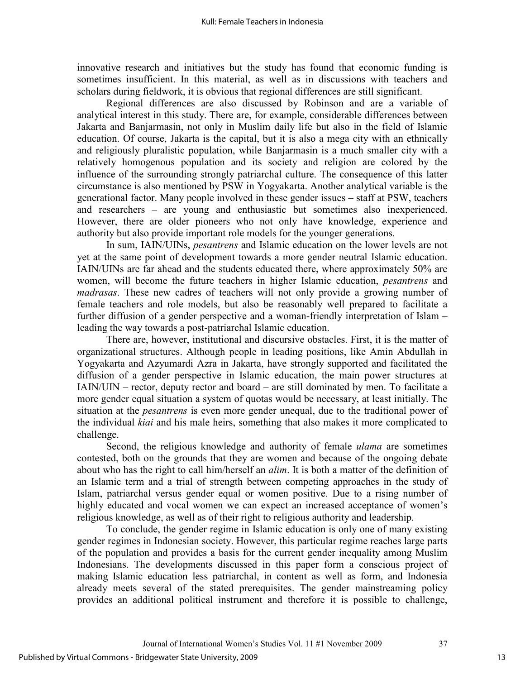innovative research and initiatives but the study has found that economic funding is sometimes insufficient. In this material, as well as in discussions with teachers and scholars during fieldwork, it is obvious that regional differences are still significant.

Regional differences are also discussed by Robinson and are a variable of analytical interest in this study. There are, for example, considerable differences between Jakarta and Banjarmasin, not only in Muslim daily life but also in the field of Islamic education. Of course, Jakarta is the capital, but it is also a mega city with an ethnically and religiously pluralistic population, while Banjarmasin is a much smaller city with a relatively homogenous population and its society and religion are colored by the influence of the surrounding strongly patriarchal culture. The consequence of this latter circumstance is also mentioned by PSW in Yogyakarta. Another analytical variable is the generational factor. Many people involved in these gender issues – staff at PSW, teachers and researchers – are young and enthusiastic but sometimes also inexperienced. However, there are older pioneers who not only have knowledge, experience and authority but also provide important role models for the younger generations.

In sum, IAIN/UINs, *pesantrens* and Islamic education on the lower levels are not yet at the same point of development towards a more gender neutral Islamic education. IAIN/UINs are far ahead and the students educated there, where approximately 50% are women, will become the future teachers in higher Islamic education, *pesantrens* and *madrasas*. These new cadres of teachers will not only provide a growing number of female teachers and role models, but also be reasonably well prepared to facilitate a further diffusion of a gender perspective and a woman-friendly interpretation of Islam – leading the way towards a post-patriarchal Islamic education.

There are, however, institutional and discursive obstacles. First, it is the matter of organizational structures. Although people in leading positions, like Amin Abdullah in Yogyakarta and Azyumardi Azra in Jakarta, have strongly supported and facilitated the diffusion of a gender perspective in Islamic education, the main power structures at IAIN/UIN – rector, deputy rector and board – are still dominated by men. To facilitate a more gender equal situation a system of quotas would be necessary, at least initially. The situation at the *pesantrens* is even more gender unequal, due to the traditional power of the individual *kiai* and his male heirs, something that also makes it more complicated to challenge.

Second, the religious knowledge and authority of female *ulama* are sometimes contested, both on the grounds that they are women and because of the ongoing debate about who has the right to call him/herself an *alim*. It is both a matter of the definition of an Islamic term and a trial of strength between competing approaches in the study of Islam, patriarchal versus gender equal or women positive. Due to a rising number of highly educated and vocal women we can expect an increased acceptance of women's religious knowledge, as well as of their right to religious authority and leadership.

To conclude, the gender regime in Islamic education is only one of many existing gender regimes in Indonesian society. However, this particular regime reaches large parts of the population and provides a basis for the current gender inequality among Muslim Indonesians. The developments discussed in this paper form a conscious project of making Islamic education less patriarchal, in content as well as form, and Indonesia already meets several of the stated prerequisites. The gender mainstreaming policy provides an additional political instrument and therefore it is possible to challenge,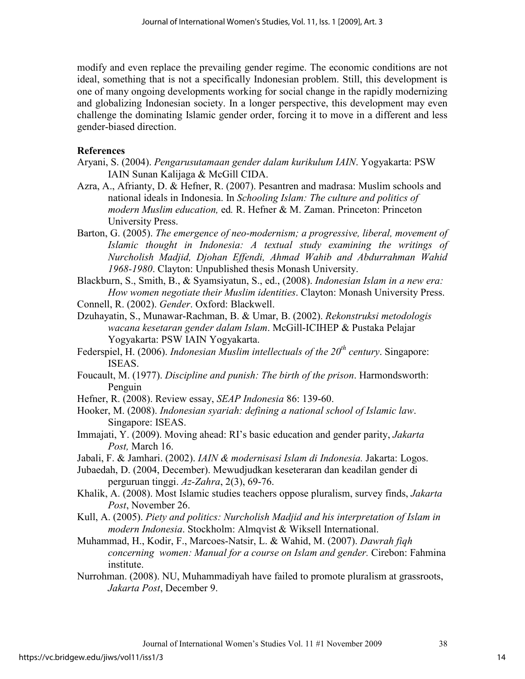modify and even replace the prevailing gender regime. The economic conditions are not ideal, something that is not a specifically Indonesian problem. Still, this development is one of many ongoing developments working for social change in the rapidly modernizing and globalizing Indonesian society. In a longer perspective, this development may even challenge the dominating Islamic gender order, forcing it to move in a different and less gender-biased direction.

## **References**

- Aryani, S. (2004). *Pengarusutamaan gender dalam kurikulum IAIN*. Yogyakarta: PSW IAIN Sunan Kalijaga & McGill CIDA.
- Azra, A., Afrianty, D. & Hefner, R. (2007). Pesantren and madrasa: Muslim schools and national ideals in Indonesia. In *Schooling Islam: The culture and politics of modern Muslim education,* ed*.* R. Hefner & M. Zaman. Princeton: Princeton University Press.
- Barton, G. (2005). *The emergence of neo-modernism; a progressive, liberal, movement of Islamic thought in Indonesia: A textual study examining the writings of Nurcholish Madjid, Djohan Effendi, Ahmad Wahib and Abdurrahman Wahid 1968-1980*. Clayton: Unpublished thesis Monash University.

Blackburn, S., Smith, B., & Syamsiyatun, S., ed., (2008). *Indonesian Islam in a new era: How women negotiate their Muslim identities*. Clayton: Monash University Press.

- Connell, R. (2002). *Gender*. Oxford: Blackwell.
- Dzuhayatin, S., Munawar-Rachman, B. & Umar, B. (2002). *Rekonstruksi metodologis wacana kesetaran gender dalam Islam*. McGill-ICIHEP & Pustaka Pelajar Yogyakarta: PSW IAIN Yogyakarta.
- Federspiel, H. (2006). *Indonesian Muslim intellectuals of the 20th century*. Singapore: ISEAS.
- Foucault, M. (1977). *Discipline and punish: The birth of the prison*. Harmondsworth: Penguin
- Hefner, R. (2008). Review essay, *SEAP Indonesia* 86: 139-60.
- Hooker, M. (2008). *Indonesian syariah: defining a national school of Islamic law*. Singapore: ISEAS.
- Immajati, Y. (2009). Moving ahead: RI's basic education and gender parity, *Jakarta Post,* March 16.
- Jabali, F. & Jamhari. (2002). *IAIN & modernisasi Islam di Indonesia.* Jakarta: Logos.
- Jubaedah, D. (2004, December). Mewudjudkan keseteraran dan keadilan gender di perguruan tinggi. *Az-Zahra*, 2(3), 69-76.
- Khalik, A. (2008). Most Islamic studies teachers oppose pluralism, survey finds, *Jakarta Post*, November 26.
- Kull, A. (2005). *Piety and politics: Nurcholish Madjid and his interpretation of Islam in modern Indonesia*. Stockholm: Almqvist & Wiksell International.
- Muhammad, H., Kodir, F., Marcoes-Natsir, L. & Wahid, M. (2007). *Dawrah fiqh concerning women: Manual for a course on Islam and gender.* Cirebon: Fahmina institute.
- Nurrohman. (2008). NU, Muhammadiyah have failed to promote pluralism at grassroots, *Jakarta Post*, December 9.